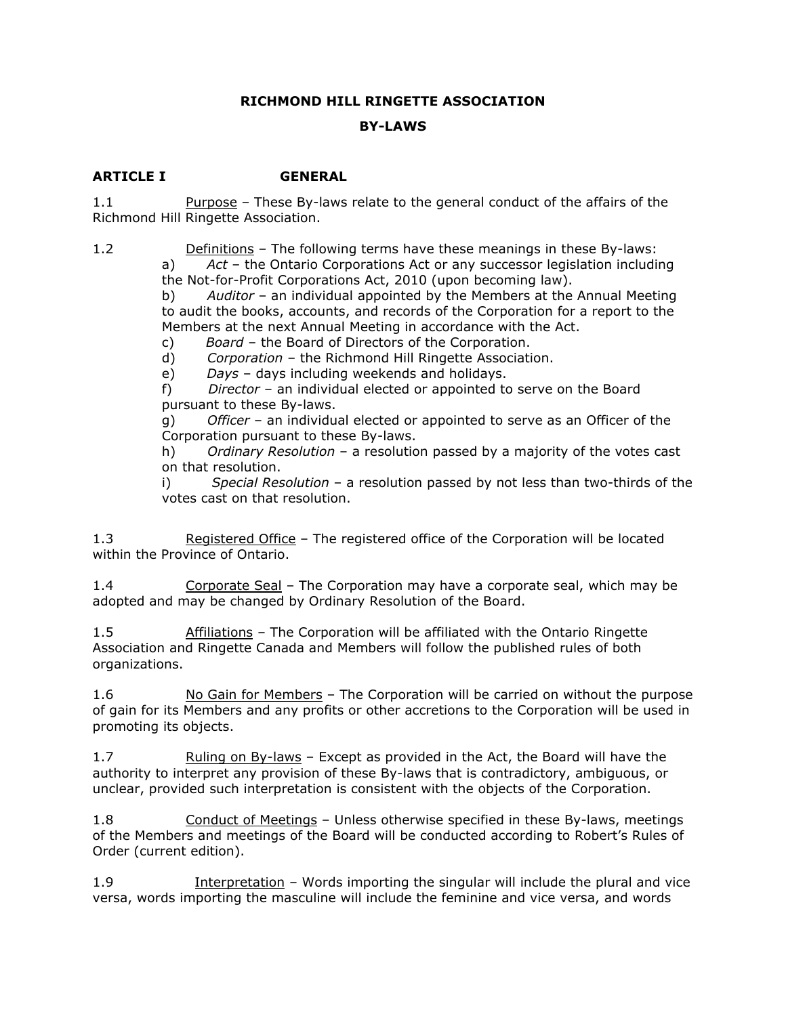## **RICHMOND HILL RINGETTE ASSOCIATION**

# **BY-LAWS**

# **ARTICLE I GENERAL**

1.1 Purpose – These By-laws relate to the general conduct of the affairs of the Richmond Hill Ringette Association.

1.2 Definitions – The following terms have these meanings in these By-laws:

a) *Act* – the Ontario Corporations Act or any successor legislation including the Not-for-Profit Corporations Act, 2010 (upon becoming law).

b) *Auditor* – an individual appointed by the Members at the Annual Meeting to audit the books, accounts, and records of the Corporation for a report to the Members at the next Annual Meeting in accordance with the Act.

c) *Board* – the Board of Directors of the Corporation.

d) *Corporation* – the Richmond Hill Ringette Association.

e) *Days* – days including weekends and holidays.

f) *Director* – an individual elected or appointed to serve on the Board pursuant to these By-laws.

g) *Officer* – an individual elected or appointed to serve as an Officer of the Corporation pursuant to these By-laws.

h) *Ordinary Resolution* – a resolution passed by a majority of the votes cast on that resolution.

i) *Special Resolution* – a resolution passed by not less than two-thirds of the votes cast on that resolution.

1.3 Registered Office – The registered office of the Corporation will be located within the Province of Ontario.

1.4 Corporate Seal – The Corporation may have a corporate seal, which may be adopted and may be changed by Ordinary Resolution of the Board.

1.5 Affiliations – The Corporation will be affiliated with the Ontario Ringette Association and Ringette Canada and Members will follow the published rules of both organizations.

1.6 No Gain for Members – The Corporation will be carried on without the purpose of gain for its Members and any profits or other accretions to the Corporation will be used in promoting its objects.

1.7 Ruling on By-laws – Except as provided in the Act, the Board will have the authority to interpret any provision of these By-laws that is contradictory, ambiguous, or unclear, provided such interpretation is consistent with the objects of the Corporation.

1.8 Conduct of Meetings – Unless otherwise specified in these By-laws, meetings of the Members and meetings of the Board will be conducted according to Robert's Rules of Order (current edition).

1.9 Interpretation – Words importing the singular will include the plural and vice versa, words importing the masculine will include the feminine and vice versa, and words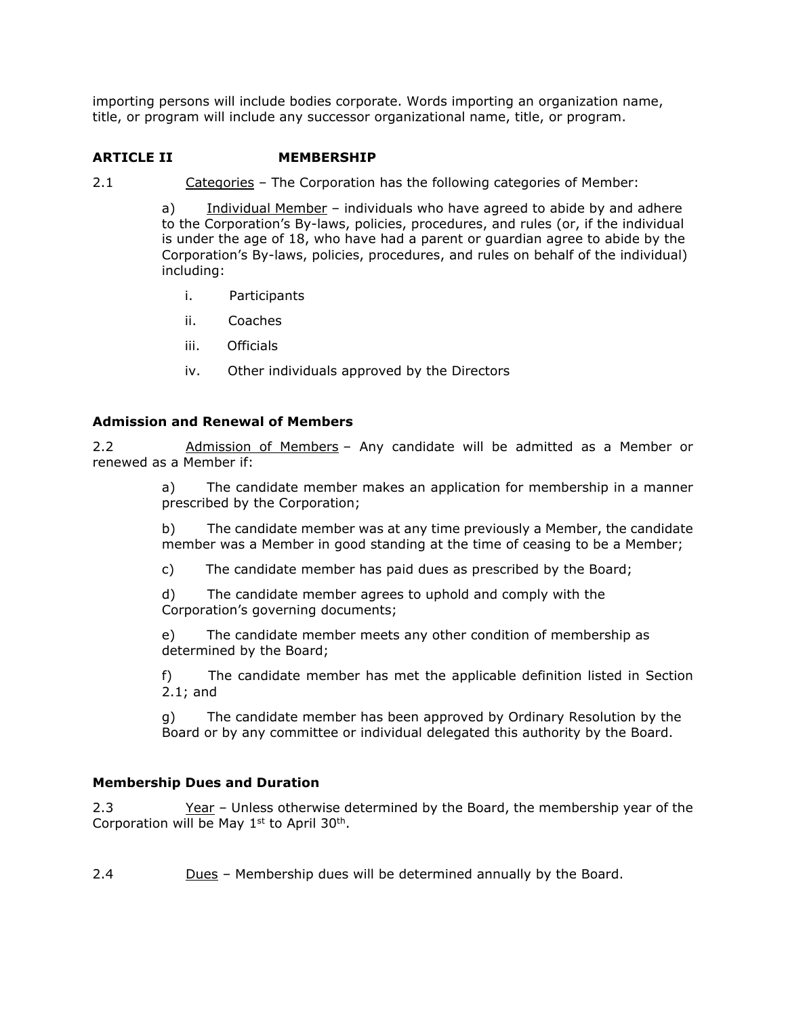importing persons will include bodies corporate. Words importing an organization name, title, or program will include any successor organizational name, title, or program.

# **ARTICLE II MEMBERSHIP**

2.1 Categories – The Corporation has the following categories of Member:

a) Individual Member – individuals who have agreed to abide by and adhere to the Corporation's By-laws, policies, procedures, and rules (or, if the individual is under the age of 18, who have had a parent or guardian agree to abide by the Corporation's By-laws, policies, procedures, and rules on behalf of the individual) including:

- i. Participants
- ii. Coaches
- iii. Officials
- iv. Other individuals approved by the Directors

#### **Admission and Renewal of Members**

2.2 Admission of Members – Any candidate will be admitted as a Member or renewed as a Member if:

> a) The candidate member makes an application for membership in a manner prescribed by the Corporation;

> b) The candidate member was at any time previously a Member, the candidate member was a Member in good standing at the time of ceasing to be a Member;

c) The candidate member has paid dues as prescribed by the Board;

d) The candidate member agrees to uphold and comply with the Corporation's governing documents;

e) The candidate member meets any other condition of membership as determined by the Board;

f) The candidate member has met the applicable definition listed in Section 2.1; and

g) The candidate member has been approved by Ordinary Resolution by the Board or by any committee or individual delegated this authority by the Board.

### **Membership Dues and Duration**

2.3 Year – Unless otherwise determined by the Board, the membership year of the Corporation will be May 1<sup>st</sup> to April 30<sup>th</sup>.

2.4 Dues – Membership dues will be determined annually by the Board.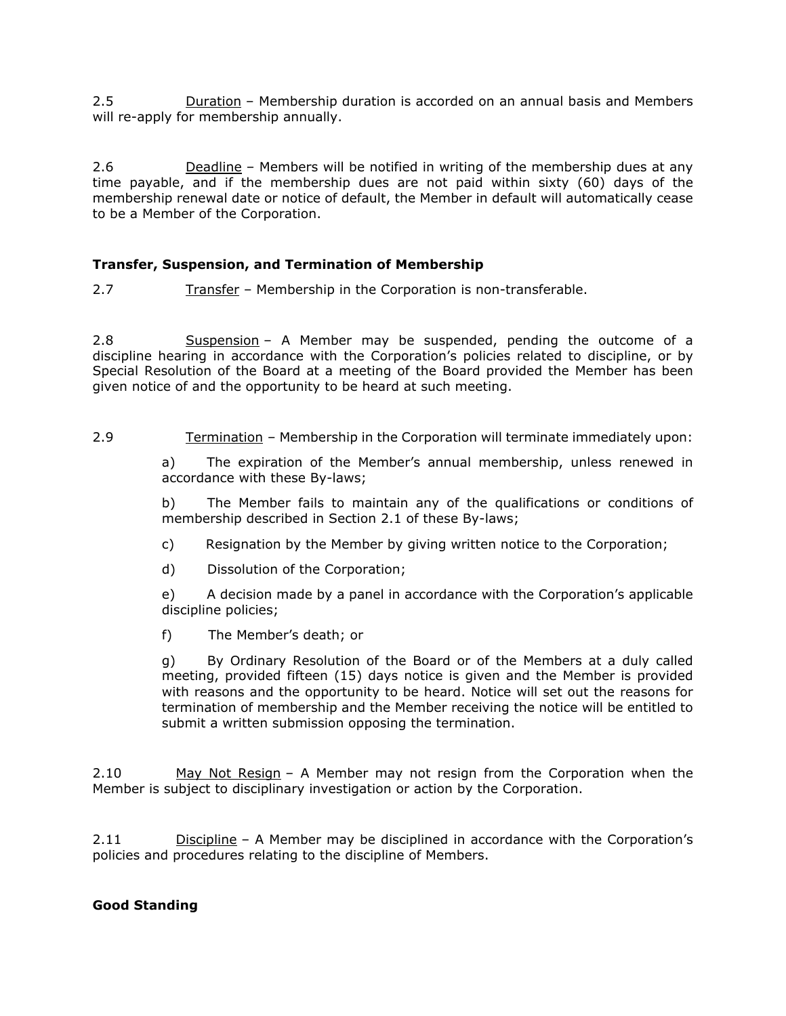2.5 Duration – Membership duration is accorded on an annual basis and Members will re-apply for membership annually.

2.6 **Deadline – Members will be notified in writing of the membership dues at any** time payable, and if the membership dues are not paid within sixty (60) days of the membership renewal date or notice of default, the Member in default will automatically cease to be a Member of the Corporation.

### **Transfer, Suspension, and Termination of Membership**

2.7 Transfer – Membership in the Corporation is non-transferable.

2.8 Suspension - A Member may be suspended, pending the outcome of a discipline hearing in accordance with the Corporation's policies related to discipline, or by Special Resolution of the Board at a meeting of the Board provided the Member has been given notice of and the opportunity to be heard at such meeting.

2.9 Termination – Membership in the Corporation will terminate immediately upon:

a) The expiration of the Member's annual membership, unless renewed in accordance with these By-laws;

b) The Member fails to maintain any of the qualifications or conditions of membership described in Section 2.1 of these By-laws;

- c) Resignation by the Member by giving written notice to the Corporation;
- d) Dissolution of the Corporation;

e) A decision made by a panel in accordance with the Corporation's applicable discipline policies;

f) The Member's death; or

g) By Ordinary Resolution of the Board or of the Members at a duly called meeting, provided fifteen (15) days notice is given and the Member is provided with reasons and the opportunity to be heard. Notice will set out the reasons for termination of membership and the Member receiving the notice will be entitled to submit a written submission opposing the termination.

2.10 May Not Resign – A Member may not resign from the Corporation when the Member is subject to disciplinary investigation or action by the Corporation.

2.11 Discipline – A Member may be disciplined in accordance with the Corporation's policies and procedures relating to the discipline of Members.

#### **Good Standing**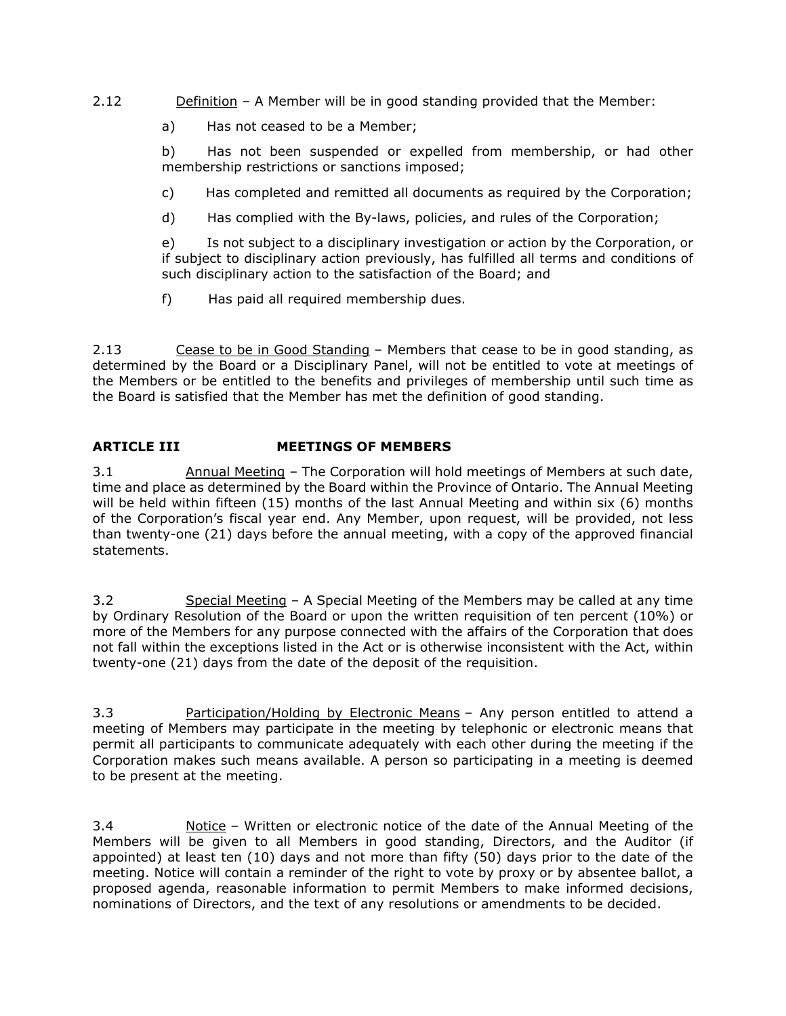- 2.12 Definition A Member will be in good standing provided that the Member:
	- a) Has not ceased to be a Member;

b) Has not been suspended or expelled from membership, or had other membership restrictions or sanctions imposed;

c) Has completed and remitted all documents as required by the Corporation;

d) Has complied with the By-laws, policies, and rules of the Corporation;

e) Is not subject to a disciplinary investigation or action by the Corporation, or if subject to disciplinary action previously, has fulfilled all terms and conditions of such disciplinary action to the satisfaction of the Board; and

f) Has paid all required membership dues.

2.13 Cease to be in Good Standing – Members that cease to be in good standing, as determined by the Board or a Disciplinary Panel, will not be entitled to vote at meetings of the Members or be entitled to the benefits and privileges of membership until such time as the Board is satisfied that the Member has met the definition of good standing.

# **ARTICLE III MEETINGS OF MEMBERS**

3.1 Annual Meeting – The Corporation will hold meetings of Members at such date, time and place as determined by the Board within the Province of Ontario. The Annual Meeting will be held within fifteen (15) months of the last Annual Meeting and within six (6) months of the Corporation's fiscal year end. Any Member, upon request, will be provided, not less than twenty-one (21) days before the annual meeting, with a copy of the approved financial statements.

3.2 Special Meeting – A Special Meeting of the Members may be called at any time by Ordinary Resolution of the Board or upon the written requisition of ten percent (10%) or more of the Members for any purpose connected with the affairs of the Corporation that does not fall within the exceptions listed in the Act or is otherwise inconsistent with the Act, within twenty-one (21) days from the date of the deposit of the requisition.

3.3 Participation/Holding by Electronic Means - Any person entitled to attend a meeting of Members may participate in the meeting by telephonic or electronic means that permit all participants to communicate adequately with each other during the meeting if the Corporation makes such means available. A person so participating in a meeting is deemed to be present at the meeting.

3.4 Notice – Written or electronic notice of the date of the Annual Meeting of the Members will be given to all Members in good standing, Directors, and the Auditor (if appointed) at least ten (10) days and not more than fifty (50) days prior to the date of the meeting. Notice will contain a reminder of the right to vote by proxy or by absentee ballot, a proposed agenda, reasonable information to permit Members to make informed decisions, nominations of Directors, and the text of any resolutions or amendments to be decided.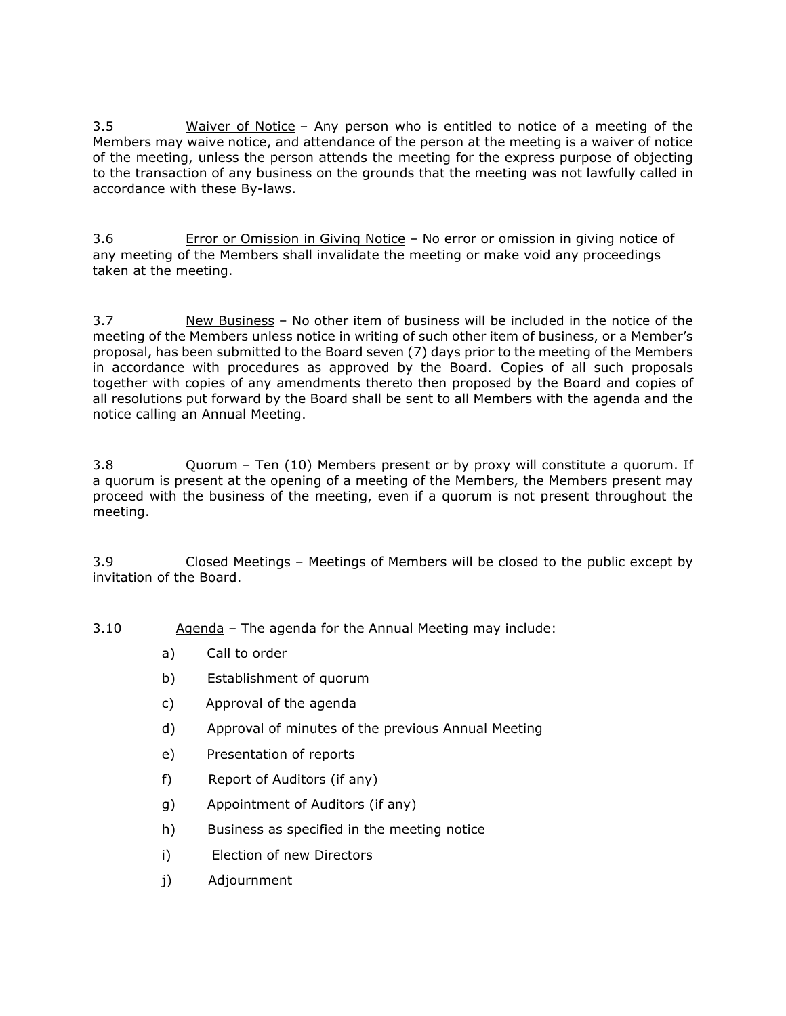3.5 Waiver of Notice – Any person who is entitled to notice of a meeting of the Members may waive notice, and attendance of the person at the meeting is a waiver of notice of the meeting, unless the person attends the meeting for the express purpose of objecting to the transaction of any business on the grounds that the meeting was not lawfully called in accordance with these By-laws.

3.6 **Error or Omission in Giving Notice – No error or omission in giving notice of** any meeting of the Members shall invalidate the meeting or make void any proceedings taken at the meeting.

3.7 New Business – No other item of business will be included in the notice of the meeting of the Members unless notice in writing of such other item of business, or a Member's proposal, has been submitted to the Board seven (7) days prior to the meeting of the Members in accordance with procedures as approved by the Board. Copies of all such proposals together with copies of any amendments thereto then proposed by the Board and copies of all resolutions put forward by the Board shall be sent to all Members with the agenda and the notice calling an Annual Meeting.

3.8 <u>Quorum</u> – Ten (10) Members present or by proxy will constitute a quorum. If a quorum is present at the opening of a meeting of the Members, the Members present may proceed with the business of the meeting, even if a quorum is not present throughout the meeting.

3.9 Closed Meetings – Meetings of Members will be closed to the public except by invitation of the Board.

3.10 Agenda - The agenda for the Annual Meeting may include:

- a) Call to order
- b) Establishment of quorum
- c) Approval of the agenda
- d) Approval of minutes of the previous Annual Meeting
- e) Presentation of reports
- f) Report of Auditors (if any)
- g) Appointment of Auditors (if any)
- h) Business as specified in the meeting notice
- i) Election of new Directors
- j) Adjournment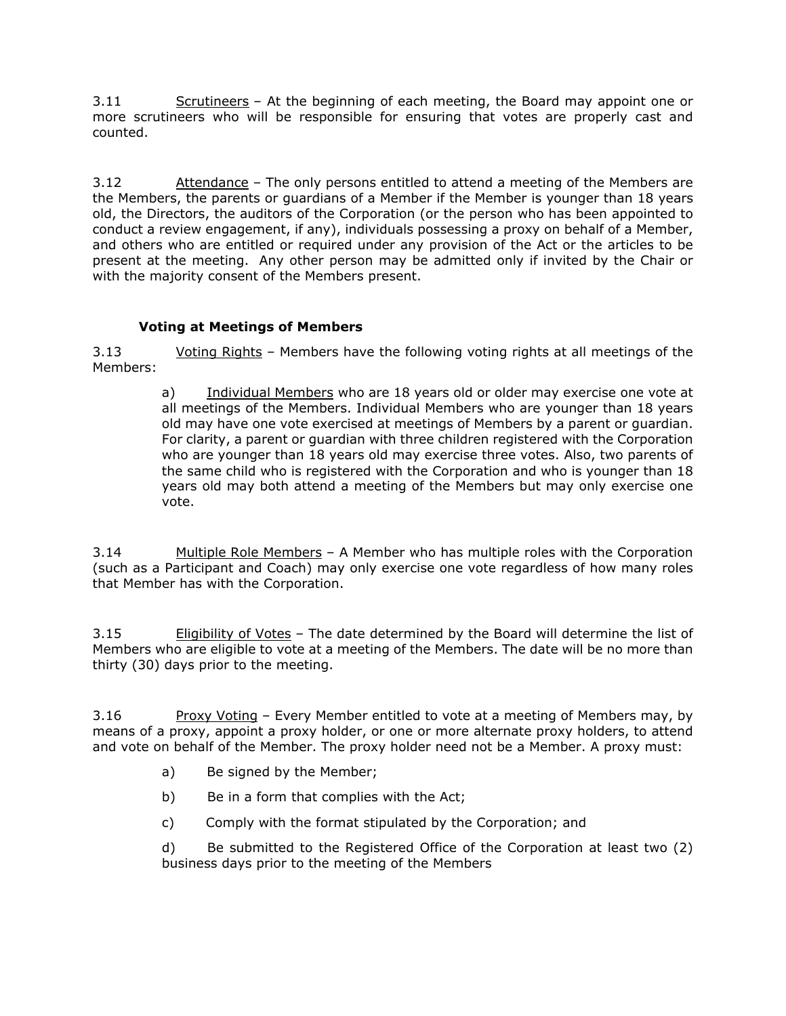3.11 Scrutineers – At the beginning of each meeting, the Board may appoint one or more scrutineers who will be responsible for ensuring that votes are properly cast and counted.

3.12 Attendance – The only persons entitled to attend a meeting of the Members are the Members, the parents or guardians of a Member if the Member is younger than 18 years old, the Directors, the auditors of the Corporation (or the person who has been appointed to conduct a review engagement, if any), individuals possessing a proxy on behalf of a Member, and others who are entitled or required under any provision of the Act or the articles to be present at the meeting. Any other person may be admitted only if invited by the Chair or with the majority consent of the Members present.

# **Voting at Meetings of Members**

3.13 Voting Rights - Members have the following voting rights at all meetings of the Members:

> a) Individual Members who are 18 years old or older may exercise one vote at all meetings of the Members. Individual Members who are younger than 18 years old may have one vote exercised at meetings of Members by a parent or guardian. For clarity, a parent or guardian with three children registered with the Corporation who are younger than 18 years old may exercise three votes. Also, two parents of the same child who is registered with the Corporation and who is younger than 18 years old may both attend a meeting of the Members but may only exercise one vote.

3.14 Multiple Role Members – A Member who has multiple roles with the Corporation (such as a Participant and Coach) may only exercise one vote regardless of how many roles that Member has with the Corporation.

3.15 Eligibility of Votes - The date determined by the Board will determine the list of Members who are eligible to vote at a meeting of the Members. The date will be no more than thirty (30) days prior to the meeting.

3.16 Proxy Voting – Every Member entitled to vote at a meeting of Members may, by means of a proxy, appoint a proxy holder, or one or more alternate proxy holders, to attend and vote on behalf of the Member. The proxy holder need not be a Member. A proxy must:

- a) Be signed by the Member;
- b) Be in a form that complies with the Act;
- c) Comply with the format stipulated by the Corporation; and

d) Be submitted to the Registered Office of the Corporation at least two (2) business days prior to the meeting of the Members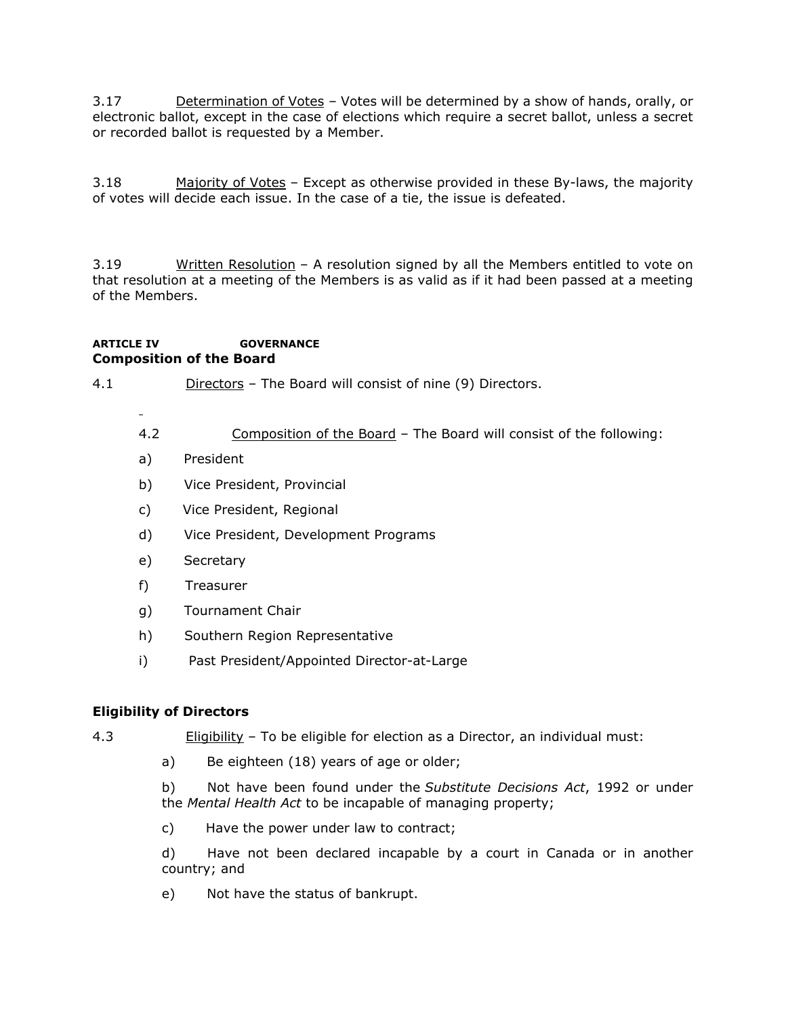3.17 Determination of Votes – Votes will be determined by a show of hands, orally, or electronic ballot, except in the case of elections which require a secret ballot, unless a secret or recorded ballot is requested by a Member.

3.18 Majority of Votes - Except as otherwise provided in these By-laws, the majority of votes will decide each issue. In the case of a tie, the issue is defeated.

3.19 Written Resolution - A resolution signed by all the Members entitled to vote on that resolution at a meeting of the Members is as valid as if it had been passed at a meeting of the Members.

#### **ARTICLE IV GOVERNANCE Composition of the Board**

4.1 Directors – The Board will consist of nine (9) Directors.

- 4.2 Composition of the Board The Board will consist of the following:
- a) President
- b) Vice President, Provincial
- c) Vice President, Regional
- d) Vice President, Development Programs
- e) Secretary
- f) Treasurer
- g) Tournament Chair
- h) Southern Region Representative
- i) Past President/Appointed Director-at-Large

#### **Eligibility of Directors**

#### 4.3 Eligibility – To be eligible for election as a Director, an individual must:

a) Be eighteen (18) years of age or older;

b) Not have been found under the *Substitute Decisions Act*, 1992 or under the *Mental Health Act* to be incapable of managing property;

c) Have the power under law to contract;

d) Have not been declared incapable by a court in Canada or in another country; and

e) Not have the status of bankrupt.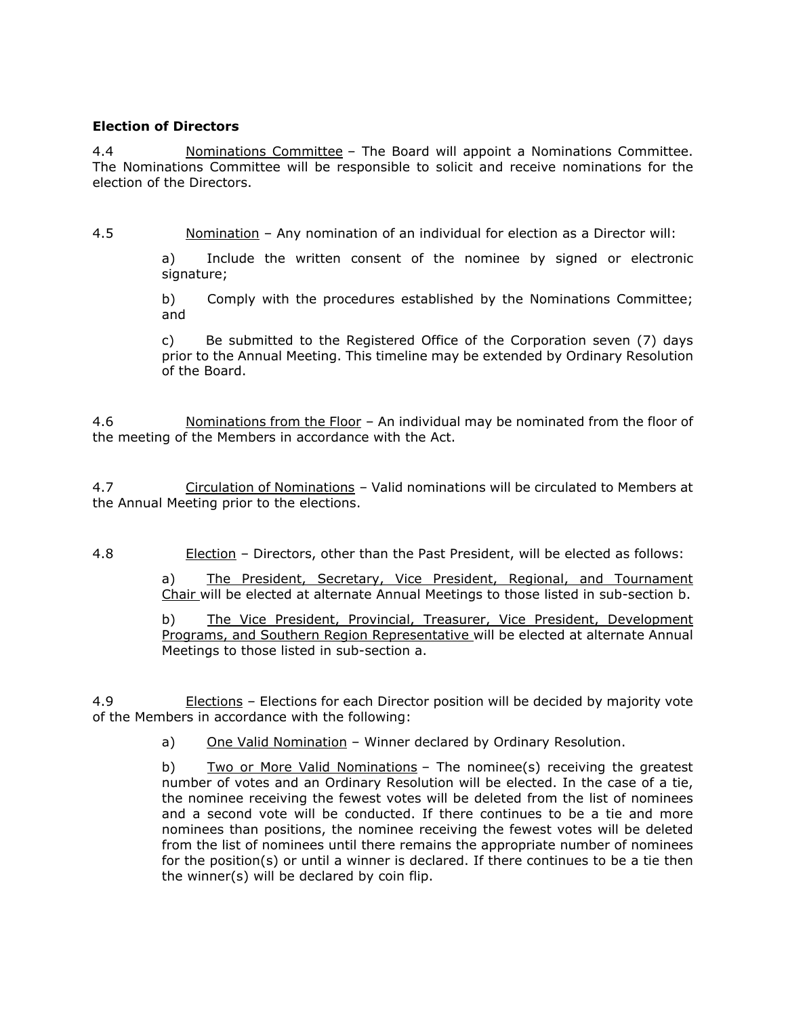### **Election of Directors**

4.4 Nominations Committee – The Board will appoint a Nominations Committee. The Nominations Committee will be responsible to solicit and receive nominations for the election of the Directors.

4.5 Nomination – Any nomination of an individual for election as a Director will:

a) Include the written consent of the nominee by signed or electronic signature;

b) Comply with the procedures established by the Nominations Committee; and

c) Be submitted to the Registered Office of the Corporation seven (7) days prior to the Annual Meeting. This timeline may be extended by Ordinary Resolution of the Board.

4.6 Nominations from the Floor – An individual may be nominated from the floor of the meeting of the Members in accordance with the Act.

4.7 Circulation of Nominations – Valid nominations will be circulated to Members at the Annual Meeting prior to the elections.

4.8 Election – Directors, other than the Past President, will be elected as follows:

a) The President, Secretary, Vice President, Regional, and Tournament Chair will be elected at alternate Annual Meetings to those listed in sub-section b.

b) The Vice President, Provincial, Treasurer, Vice President, Development Programs, and Southern Region Representative will be elected at alternate Annual Meetings to those listed in sub-section a.

4.9 Elections – Elections for each Director position will be decided by majority vote of the Members in accordance with the following:

a) One Valid Nomination – Winner declared by Ordinary Resolution.

b) Two or More Valid Nominations – The nominee(s) receiving the greatest number of votes and an Ordinary Resolution will be elected. In the case of a tie, the nominee receiving the fewest votes will be deleted from the list of nominees and a second vote will be conducted. If there continues to be a tie and more nominees than positions, the nominee receiving the fewest votes will be deleted from the list of nominees until there remains the appropriate number of nominees for the position(s) or until a winner is declared. If there continues to be a tie then the winner(s) will be declared by coin flip.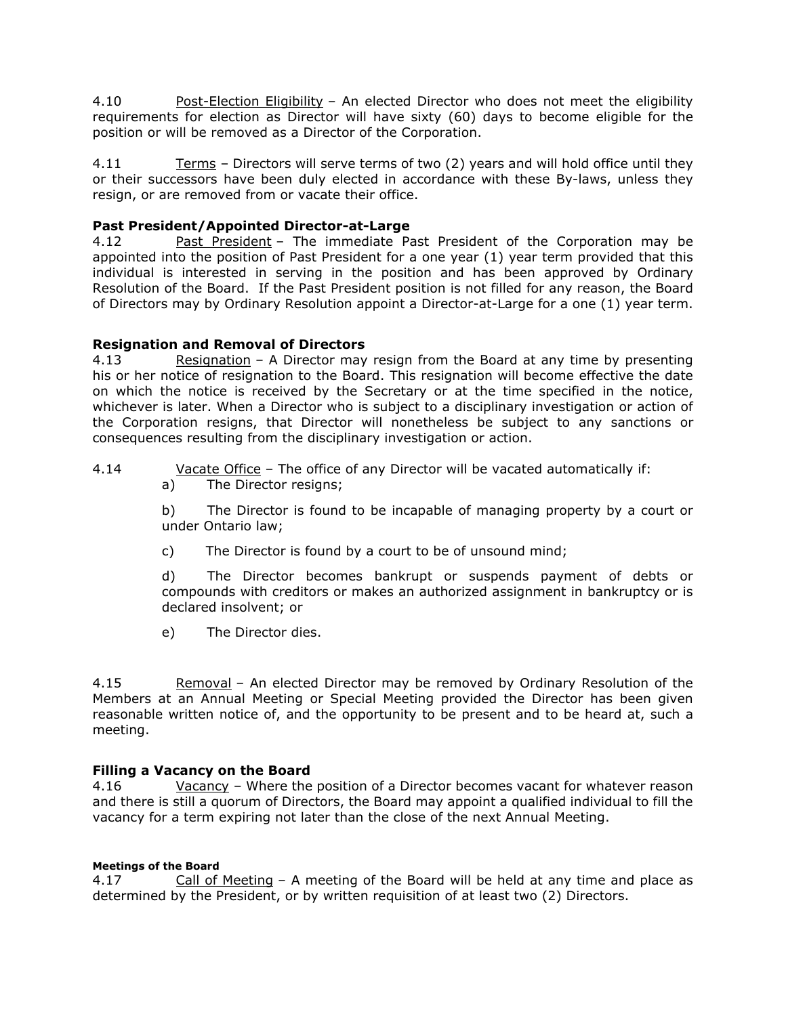4.10 Post-Election Eligibility - An elected Director who does not meet the eligibility requirements for election as Director will have sixty (60) days to become eligible for the position or will be removed as a Director of the Corporation.

4.11 Terms – Directors will serve terms of two (2) years and will hold office until they or their successors have been duly elected in accordance with these By-laws, unless they resign, or are removed from or vacate their office.

# **Past President/Appointed Director-at-Large**

4.12 Past President – The immediate Past President of the Corporation may be appointed into the position of Past President for a one year (1) year term provided that this individual is interested in serving in the position and has been approved by Ordinary Resolution of the Board. If the Past President position is not filled for any reason, the Board of Directors may by Ordinary Resolution appoint a Director-at-Large for a one (1) year term.

# **Resignation and Removal of Directors**

4.13 Resignation - A Director may resign from the Board at any time by presenting his or her notice of resignation to the Board. This resignation will become effective the date on which the notice is received by the Secretary or at the time specified in the notice, whichever is later. When a Director who is subject to a disciplinary investigation or action of the Corporation resigns, that Director will nonetheless be subject to any sanctions or consequences resulting from the disciplinary investigation or action.

# 4.14 Vacate Office – The office of any Director will be vacated automatically if:

a) The Director resigns;

b) The Director is found to be incapable of managing property by a court or under Ontario law;

c) The Director is found by a court to be of unsound mind;

d) The Director becomes bankrupt or suspends payment of debts or compounds with creditors or makes an authorized assignment in bankruptcy or is declared insolvent; or

e) The Director dies.

4.15 Removal – An elected Director may be removed by Ordinary Resolution of the Members at an Annual Meeting or Special Meeting provided the Director has been given reasonable written notice of, and the opportunity to be present and to be heard at, such a meeting.

#### **Filling a Vacancy on the Board**

4.16 Vacancy – Where the position of a Director becomes vacant for whatever reason and there is still a quorum of Directors, the Board may appoint a qualified individual to fill the vacancy for a term expiring not later than the close of the next Annual Meeting.

#### **Meetings of the Board**

4.17 Call of Meeting – A meeting of the Board will be held at any time and place as determined by the President, or by written requisition of at least two (2) Directors.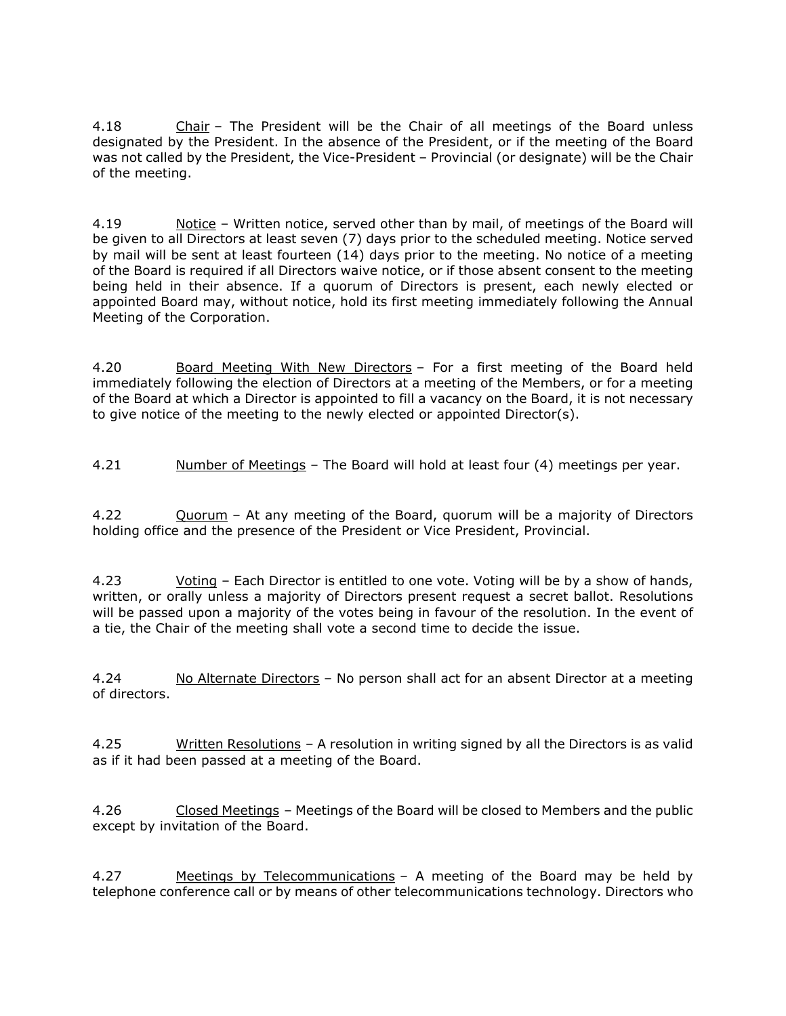4.18 Chair – The President will be the Chair of all meetings of the Board unless designated by the President. In the absence of the President, or if the meeting of the Board was not called by the President, the Vice-President – Provincial (or designate) will be the Chair of the meeting.

4.19 Notice – Written notice, served other than by mail, of meetings of the Board will be given to all Directors at least seven (7) days prior to the scheduled meeting. Notice served by mail will be sent at least fourteen (14) days prior to the meeting. No notice of a meeting of the Board is required if all Directors waive notice, or if those absent consent to the meeting being held in their absence. If a quorum of Directors is present, each newly elected or appointed Board may, without notice, hold its first meeting immediately following the Annual Meeting of the Corporation.

4.20 Board Meeting With New Directors – For a first meeting of the Board held immediately following the election of Directors at a meeting of the Members, or for a meeting of the Board at which a Director is appointed to fill a vacancy on the Board, it is not necessary to give notice of the meeting to the newly elected or appointed Director(s).

4.21 Number of Meetings - The Board will hold at least four (4) meetings per year.

4.22 Quorum – At any meeting of the Board, quorum will be a majority of Directors holding office and the presence of the President or Vice President, Provincial.

4.23 Voting – Each Director is entitled to one vote. Voting will be by a show of hands, written, or orally unless a majority of Directors present request a secret ballot. Resolutions will be passed upon a majority of the votes being in favour of the resolution. In the event of a tie, the Chair of the meeting shall vote a second time to decide the issue.

4.24 No Alternate Directors – No person shall act for an absent Director at a meeting of directors.

4.25 Written Resolutions – A resolution in writing signed by all the Directors is as valid as if it had been passed at a meeting of the Board.

4.26 Closed Meetings – Meetings of the Board will be closed to Members and the public except by invitation of the Board.

4.27 Meetings by Telecommunications – A meeting of the Board may be held by telephone conference call or by means of other telecommunications technology. Directors who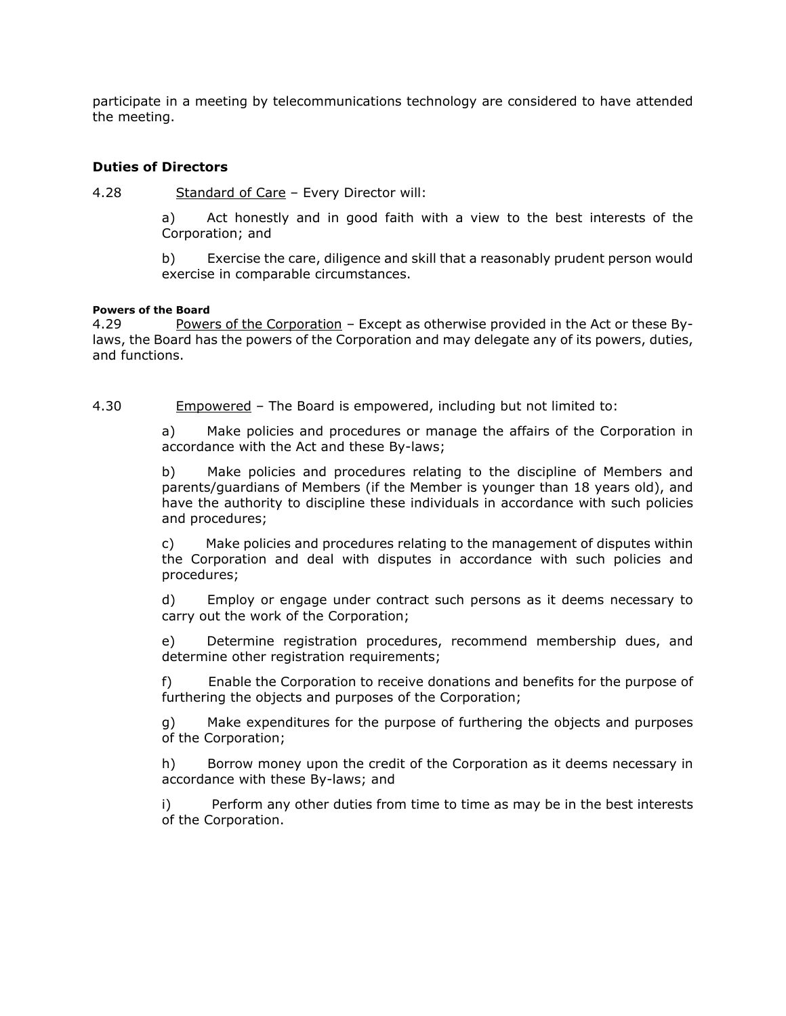participate in a meeting by telecommunications technology are considered to have attended the meeting.

#### **Duties of Directors**

4.28 Standard of Care – Every Director will:

a) Act honestly and in good faith with a view to the best interests of the Corporation; and

b) Exercise the care, diligence and skill that a reasonably prudent person would exercise in comparable circumstances.

#### **Powers of the Board**

4.29 Powers of the Corporation – Except as otherwise provided in the Act or these Bylaws, the Board has the powers of the Corporation and may delegate any of its powers, duties, and functions.

4.30 Empowered – The Board is empowered, including but not limited to:

a) Make policies and procedures or manage the affairs of the Corporation in accordance with the Act and these By-laws;

b) Make policies and procedures relating to the discipline of Members and parents/guardians of Members (if the Member is younger than 18 years old), and have the authority to discipline these individuals in accordance with such policies and procedures;

c) Make policies and procedures relating to the management of disputes within the Corporation and deal with disputes in accordance with such policies and procedures;

d) Employ or engage under contract such persons as it deems necessary to carry out the work of the Corporation;

e) Determine registration procedures, recommend membership dues, and determine other registration requirements;

f) Enable the Corporation to receive donations and benefits for the purpose of furthering the objects and purposes of the Corporation;

g) Make expenditures for the purpose of furthering the objects and purposes of the Corporation;

h) Borrow money upon the credit of the Corporation as it deems necessary in accordance with these By-laws; and

i) Perform any other duties from time to time as may be in the best interests of the Corporation.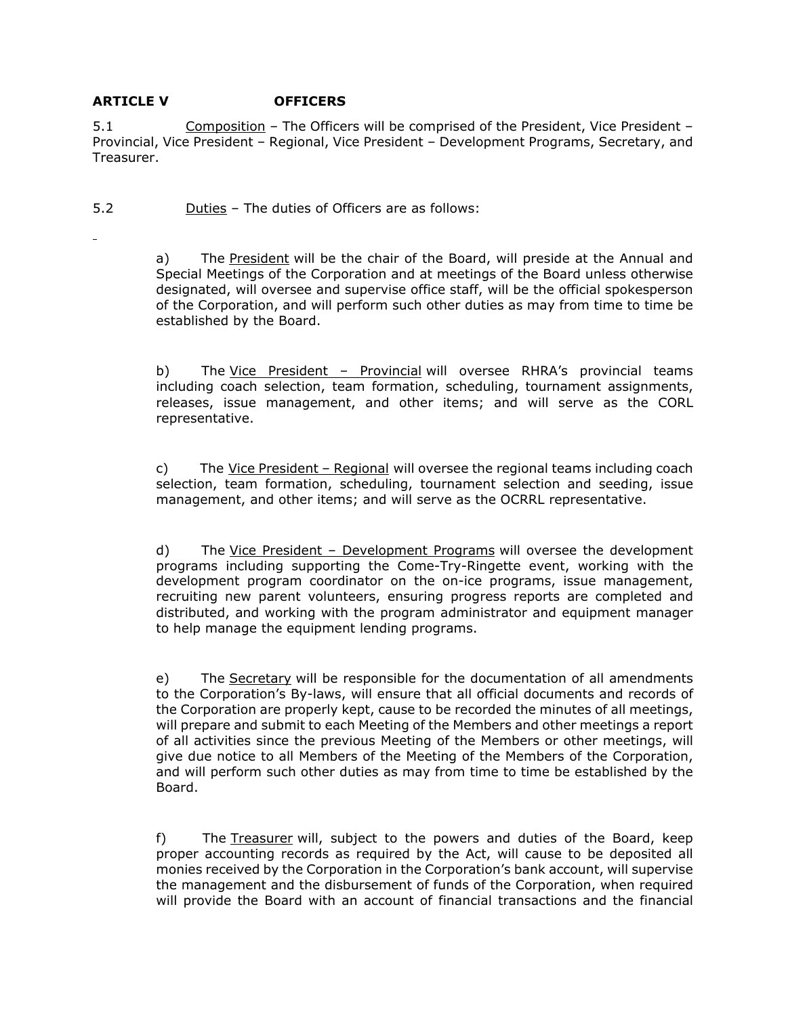# **ARTICLE V OFFICERS**

5.1 Composition – The Officers will be comprised of the President, Vice President – Provincial, Vice President – Regional, Vice President – Development Programs, Secretary, and Treasurer.

- 5.2 Duties The duties of Officers are as follows:
	- a) The President will be the chair of the Board, will preside at the Annual and Special Meetings of the Corporation and at meetings of the Board unless otherwise designated, will oversee and supervise office staff, will be the official spokesperson of the Corporation, and will perform such other duties as may from time to time be established by the Board.

b) The Vice President – Provincial will oversee RHRA's provincial teams including coach selection, team formation, scheduling, tournament assignments, releases, issue management, and other items; and will serve as the CORL representative.

c) The Vice President – Regional will oversee the regional teams including coach selection, team formation, scheduling, tournament selection and seeding, issue management, and other items; and will serve as the OCRRL representative.

d) The Vice President - Development Programs will oversee the development programs including supporting the Come-Try-Ringette event, working with the development program coordinator on the on-ice programs, issue management, recruiting new parent volunteers, ensuring progress reports are completed and distributed, and working with the program administrator and equipment manager to help manage the equipment lending programs.

e) The Secretary will be responsible for the documentation of all amendments to the Corporation's By-laws, will ensure that all official documents and records of the Corporation are properly kept, cause to be recorded the minutes of all meetings, will prepare and submit to each Meeting of the Members and other meetings a report of all activities since the previous Meeting of the Members or other meetings, will give due notice to all Members of the Meeting of the Members of the Corporation, and will perform such other duties as may from time to time be established by the Board.

f) The Treasurer will, subject to the powers and duties of the Board, keep proper accounting records as required by the Act, will cause to be deposited all monies received by the Corporation in the Corporation's bank account, will supervise the management and the disbursement of funds of the Corporation, when required will provide the Board with an account of financial transactions and the financial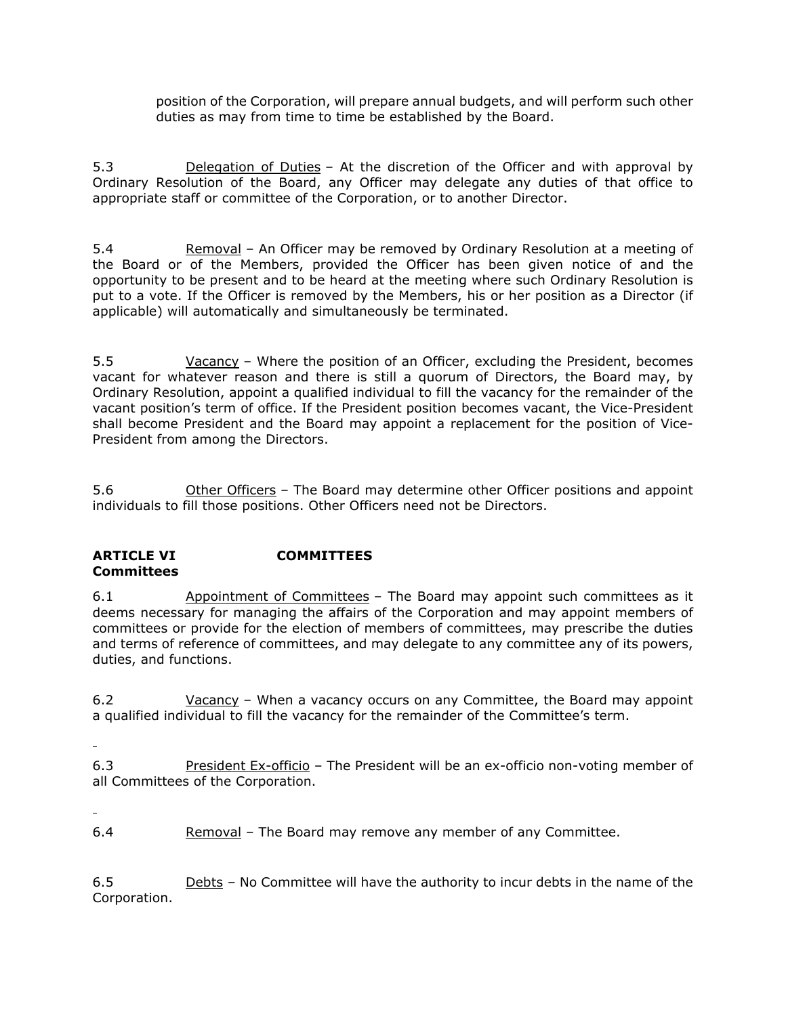position of the Corporation, will prepare annual budgets, and will perform such other duties as may from time to time be established by the Board.

5.3 **Delegation of Duties - At the discretion of the Officer and with approval by** Ordinary Resolution of the Board, any Officer may delegate any duties of that office to appropriate staff or committee of the Corporation, or to another Director.

5.4 Removal – An Officer may be removed by Ordinary Resolution at a meeting of the Board or of the Members, provided the Officer has been given notice of and the opportunity to be present and to be heard at the meeting where such Ordinary Resolution is put to a vote. If the Officer is removed by the Members, his or her position as a Director (if applicable) will automatically and simultaneously be terminated.

5.5 Vacancy – Where the position of an Officer, excluding the President, becomes vacant for whatever reason and there is still a quorum of Directors, the Board may, by Ordinary Resolution, appoint a qualified individual to fill the vacancy for the remainder of the vacant position's term of office. If the President position becomes vacant, the Vice-President shall become President and the Board may appoint a replacement for the position of Vice-President from among the Directors.

5.6 Other Officers – The Board may determine other Officer positions and appoint individuals to fill those positions. Other Officers need not be Directors.

### **ARTICLE VI COMMITTEES Committees**

6.1 Appointment of Committees – The Board may appoint such committees as it deems necessary for managing the affairs of the Corporation and may appoint members of committees or provide for the election of members of committees, may prescribe the duties and terms of reference of committees, and may delegate to any committee any of its powers, duties, and functions.

6.2 Vacancy – When a vacancy occurs on any Committee, the Board may appoint a qualified individual to fill the vacancy for the remainder of the Committee's term.

- 6.3 President Ex-officio The President will be an ex-officio non-voting member of all Committees of the Corporation.
- 

6.4 Removal – The Board may remove any member of any Committee.

6.5 Debts – No Committee will have the authority to incur debts in the name of the Corporation.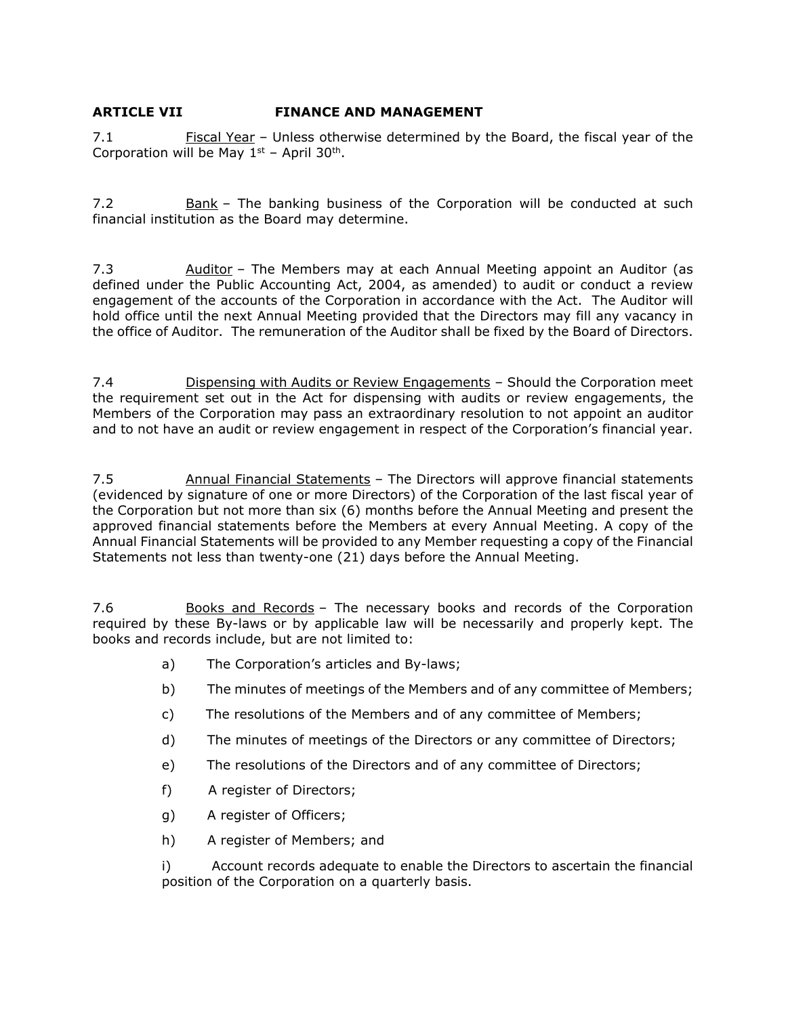# **ARTICLE VII FINANCE AND MANAGEMENT**

7.1 Fiscal Year – Unless otherwise determined by the Board, the fiscal year of the Corporation will be May  $1<sup>st</sup>$  – April 30<sup>th</sup>.

7.2 Bank – The banking business of the Corporation will be conducted at such financial institution as the Board may determine.

7.3 Auditor – The Members may at each Annual Meeting appoint an Auditor (as defined under the Public Accounting Act, 2004, as amended) to audit or conduct a review engagement of the accounts of the Corporation in accordance with the Act. The Auditor will hold office until the next Annual Meeting provided that the Directors may fill any vacancy in the office of Auditor. The remuneration of the Auditor shall be fixed by the Board of Directors.

7.4 Dispensing with Audits or Review Engagements – Should the Corporation meet the requirement set out in the Act for dispensing with audits or review engagements, the Members of the Corporation may pass an extraordinary resolution to not appoint an auditor and to not have an audit or review engagement in respect of the Corporation's financial year.

7.5 Annual Financial Statements - The Directors will approve financial statements (evidenced by signature of one or more Directors) of the Corporation of the last fiscal year of the Corporation but not more than six (6) months before the Annual Meeting and present the approved financial statements before the Members at every Annual Meeting. A copy of the Annual Financial Statements will be provided to any Member requesting a copy of the Financial Statements not less than twenty-one (21) days before the Annual Meeting.

7.6 Books and Records - The necessary books and records of the Corporation required by these By-laws or by applicable law will be necessarily and properly kept. The books and records include, but are not limited to:

- a) The Corporation's articles and By-laws;
- b) The minutes of meetings of the Members and of any committee of Members;
- c) The resolutions of the Members and of any committee of Members;
- d) The minutes of meetings of the Directors or any committee of Directors;
- e) The resolutions of the Directors and of any committee of Directors;
- f) A register of Directors;
- g) A register of Officers;
- h) A register of Members; and

i) Account records adequate to enable the Directors to ascertain the financial position of the Corporation on a quarterly basis.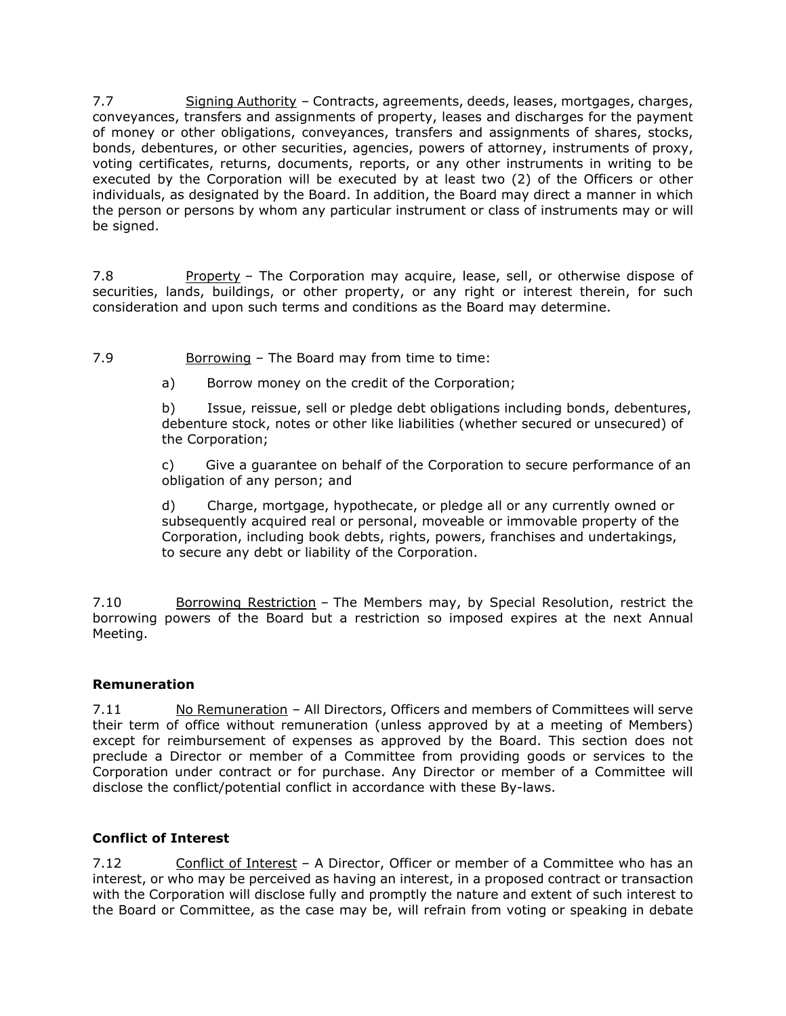7.7 Signing Authority – Contracts, agreements, deeds, leases, mortgages, charges, conveyances, transfers and assignments of property, leases and discharges for the payment of money or other obligations, conveyances, transfers and assignments of shares, stocks, bonds, debentures, or other securities, agencies, powers of attorney, instruments of proxy, voting certificates, returns, documents, reports, or any other instruments in writing to be executed by the Corporation will be executed by at least two (2) of the Officers or other individuals, as designated by the Board. In addition, the Board may direct a manner in which the person or persons by whom any particular instrument or class of instruments may or will be signed.

7.8 Property – The Corporation may acquire, lease, sell, or otherwise dispose of securities, lands, buildings, or other property, or any right or interest therein, for such consideration and upon such terms and conditions as the Board may determine.

7.9 Borrowing – The Board may from time to time:

a) Borrow money on the credit of the Corporation;

b) Issue, reissue, sell or pledge debt obligations including bonds, debentures, debenture stock, notes or other like liabilities (whether secured or unsecured) of the Corporation;

c) Give a guarantee on behalf of the Corporation to secure performance of an obligation of any person; and

d) Charge, mortgage, hypothecate, or pledge all or any currently owned or subsequently acquired real or personal, moveable or immovable property of the Corporation, including book debts, rights, powers, franchises and undertakings, to secure any debt or liability of the Corporation.

7.10 Borrowing Restriction – The Members may, by Special Resolution, restrict the borrowing powers of the Board but a restriction so imposed expires at the next Annual Meeting.

# **Remuneration**

7.11 No Remuneration – All Directors, Officers and members of Committees will serve their term of office without remuneration (unless approved by at a meeting of Members) except for reimbursement of expenses as approved by the Board. This section does not preclude a Director or member of a Committee from providing goods or services to the Corporation under contract or for purchase. Any Director or member of a Committee will disclose the conflict/potential conflict in accordance with these By-laws.

# **Conflict of Interest**

7.12 Conflict of Interest – A Director, Officer or member of a Committee who has an interest, or who may be perceived as having an interest, in a proposed contract or transaction with the Corporation will disclose fully and promptly the nature and extent of such interest to the Board or Committee, as the case may be, will refrain from voting or speaking in debate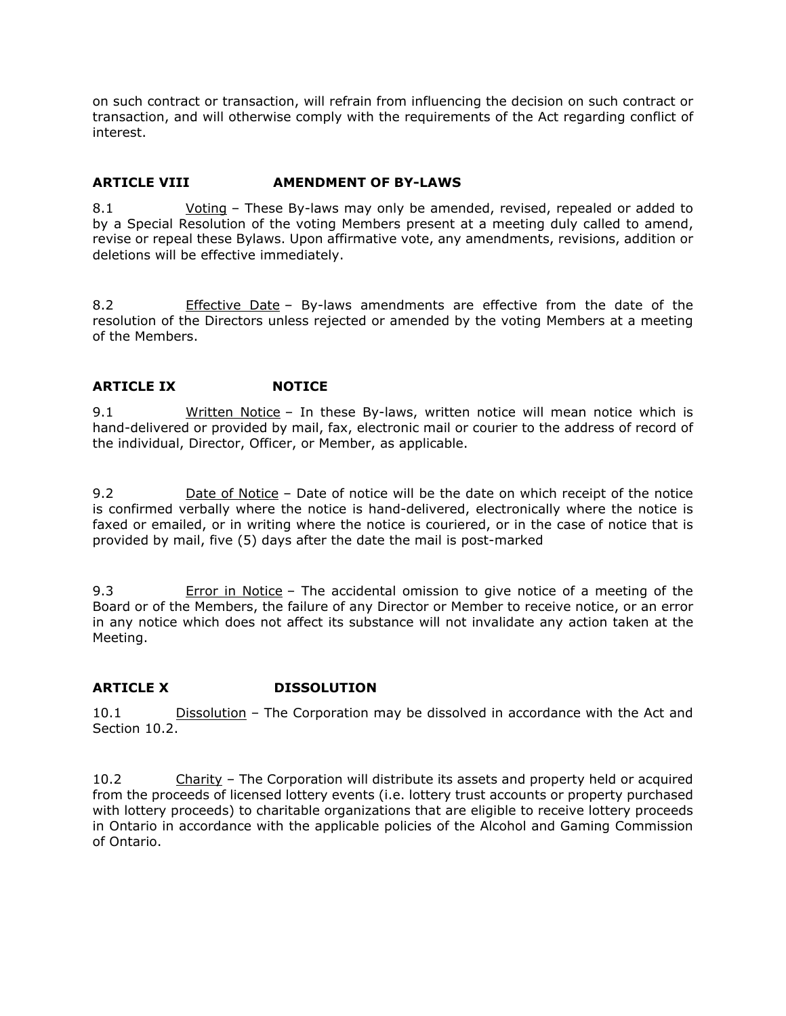on such contract or transaction, will refrain from influencing the decision on such contract or transaction, and will otherwise comply with the requirements of the Act regarding conflict of interest.

### **ARTICLE VIII AMENDMENT OF BY-LAWS**

8.1 Voting – These By-laws may only be amended, revised, repealed or added to by a Special Resolution of the voting Members present at a meeting duly called to amend, revise or repeal these Bylaws. Upon affirmative vote, any amendments, revisions, addition or deletions will be effective immediately.

8.2 Effective Date – By-laws amendments are effective from the date of the resolution of the Directors unless rejected or amended by the voting Members at a meeting of the Members.

### **ARTICLE IX NOTICE**

9.1 Written Notice – In these By-laws, written notice will mean notice which is hand-delivered or provided by mail, fax, electronic mail or courier to the address of record of the individual, Director, Officer, or Member, as applicable.

9.2 Date of Notice – Date of notice will be the date on which receipt of the notice is confirmed verbally where the notice is hand-delivered, electronically where the notice is faxed or emailed, or in writing where the notice is couriered, or in the case of notice that is provided by mail, five (5) days after the date the mail is post-marked

9.3 Error in Notice – The accidental omission to give notice of a meeting of the Board or of the Members, the failure of any Director or Member to receive notice, or an error in any notice which does not affect its substance will not invalidate any action taken at the Meeting.

#### **ARTICLE X DISSOLUTION**

10.1 Dissolution – The Corporation may be dissolved in accordance with the Act and Section 10.2.

10.2 Charity – The Corporation will distribute its assets and property held or acquired from the proceeds of licensed lottery events (i.e. lottery trust accounts or property purchased with lottery proceeds) to charitable organizations that are eligible to receive lottery proceeds in Ontario in accordance with the applicable policies of the Alcohol and Gaming Commission of Ontario.